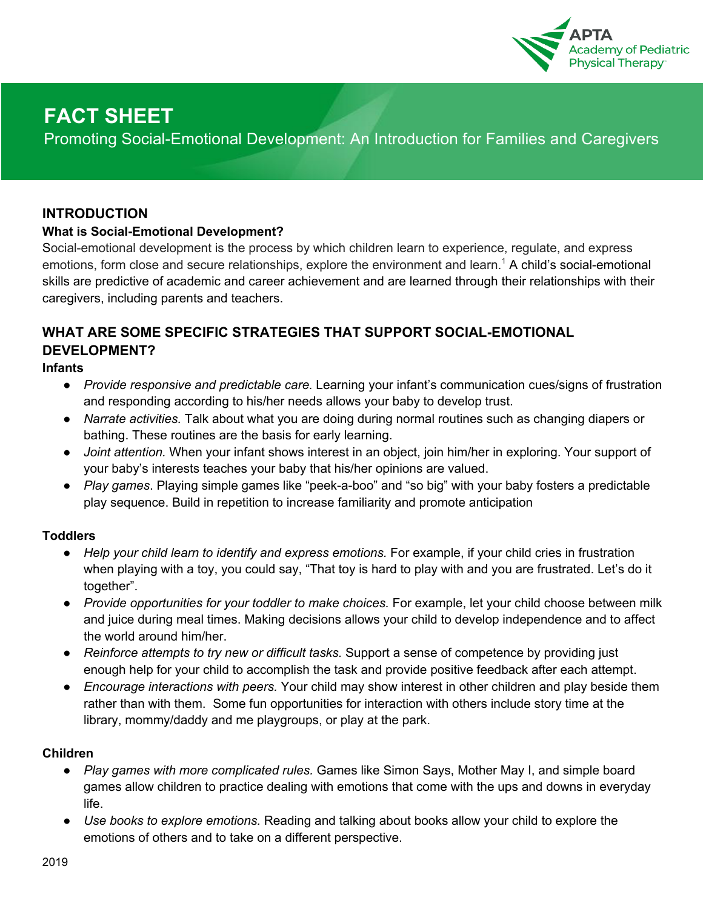

# **FACT SHEET**

Promoting Social-Emotional Development: An Introduction for Families and Caregivers

### **INTRODUCTION**

#### **What is Social-Emotional Development?**

Social-emotional development is the process by which children learn to experience, regulate, and express emotions, form close and secure relationships, explore the environment and learn.<sup>1</sup> A child's social-emotional skills are predictive of academic and career achievement and are learned through their relationships with their caregivers, including parents and teachers.

# **WHAT ARE SOME SPECIFIC STRATEGIES THAT SUPPORT SOCIAL-EMOTIONAL DEVELOPMENT?**

#### **Infants**

- *Provide responsive and predictable care.* Learning your infant's communication cues/signs of frustration and responding according to his/her needs allows your baby to develop trust.
- *Narrate activities.* Talk about what you are doing during normal routines such as changing diapers or bathing. These routines are the basis for early learning.
- *Joint attention.* When your infant shows interest in an object, join him/her in exploring. Your support of your baby's interests teaches your baby that his/her opinions are valued.
- *Play games*. Playing simple games like "peek-a-boo" and "so big" with your baby fosters a predictable play sequence. Build in repetition to increase familiarity and promote anticipation

### **Toddlers**

- *Help your child learn to identify and express emotions.* For example, if your child cries in frustration when playing with a toy, you could say, "That toy is hard to play with and you are frustrated. Let's do it together".
- *Provide opportunities for your toddler to make choices.* For example, let your child choose between milk and juice during meal times. Making decisions allows your child to develop independence and to affect the world around him/her.
- *Reinforce attempts to try new or difficult tasks.* Support a sense of competence by providing just enough help for your child to accomplish the task and provide positive feedback after each attempt.
- *Encourage interactions with peers.* Your child may show interest in other children and play beside them rather than with them. Some fun opportunities for interaction with others include story time at the library, mommy/daddy and me playgroups, or play at the park.

### **Children**

- *Play games with more complicated rules.* Games like Simon Says, Mother May I, and simple board games allow children to practice dealing with emotions that come with the ups and downs in everyday life.
- *Use books to explore emotions.* Reading and talking about books allow your child to explore the emotions of others and to take on a different perspective.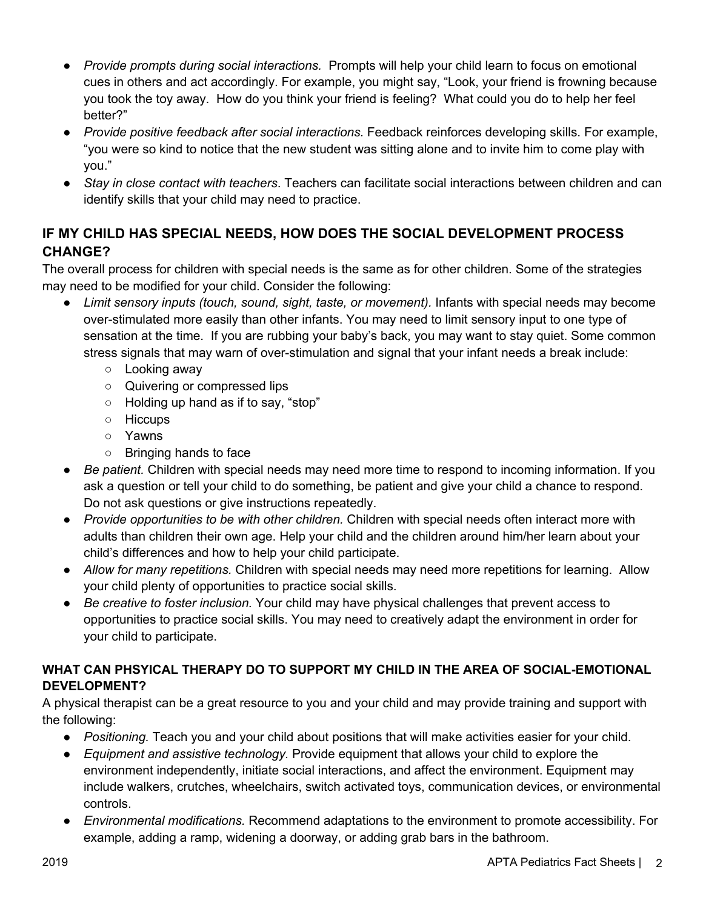- *Provide prompts during social interactions.* Prompts will help your child learn to focus on emotional cues in others and act accordingly. For example, you might say, "Look, your friend is frowning because you took the toy away. How do you think your friend is feeling? What could you do to help her feel better?"
- *Provide positive feedback after social interactions.* Feedback reinforces developing skills. For example, "you were so kind to notice that the new student was sitting alone and to invite him to come play with you."
- *Stay in close contact with teachers*. Teachers can facilitate social interactions between children and can identify skills that your child may need to practice.

# **IF MY CHILD HAS SPECIAL NEEDS, HOW DOES THE SOCIAL DEVELOPMENT PROCESS CHANGE?**

The overall process for children with special needs is the same as for other children. Some of the strategies may need to be modified for your child. Consider the following:

- Limit sensory inputs (touch, sound, sight, taste, or movement). Infants with special needs may become over-stimulated more easily than other infants. You may need to limit sensory input to one type of sensation at the time. If you are rubbing your baby's back, you may want to stay quiet. Some common stress signals that may warn of over-stimulation and signal that your infant needs a break include:
	- Looking away
	- Quivering or compressed lips
	- Holding up hand as if to say, "stop"
	- Hiccups
	- Yawns
	- Bringing hands to face
- *Be patient.* Children with special needs may need more time to respond to incoming information. If you ask a question or tell your child to do something, be patient and give your child a chance to respond. Do not ask questions or give instructions repeatedly.
- *Provide opportunities to be with other children.* Children with special needs often interact more with adults than children their own age. Help your child and the children around him/her learn about your child's differences and how to help your child participate.
- *Allow for many repetitions.* Children with special needs may need more repetitions for learning. Allow your child plenty of opportunities to practice social skills.
- *Be creative to foster inclusion.* Your child may have physical challenges that prevent access to opportunities to practice social skills. You may need to creatively adapt the environment in order for your child to participate.

### **WHAT CAN PHSYICAL THERAPY DO TO SUPPORT MY CHILD IN THE AREA OF SOCIAL-EMOTIONAL DEVELOPMENT?**

A physical therapist can be a great resource to you and your child and may provide training and support with the following:

- *Positioning.* Teach you and your child about positions that will make activities easier for your child.
- *Equipment and assistive technology.* Provide equipment that allows your child to explore the environment independently, initiate social interactions, and affect the environment. Equipment may include walkers, crutches, wheelchairs, switch activated toys, communication devices, or environmental controls.
- *Environmental modifications.* Recommend adaptations to the environment to promote accessibility. For example, adding a ramp, widening a doorway, or adding grab bars in the bathroom.